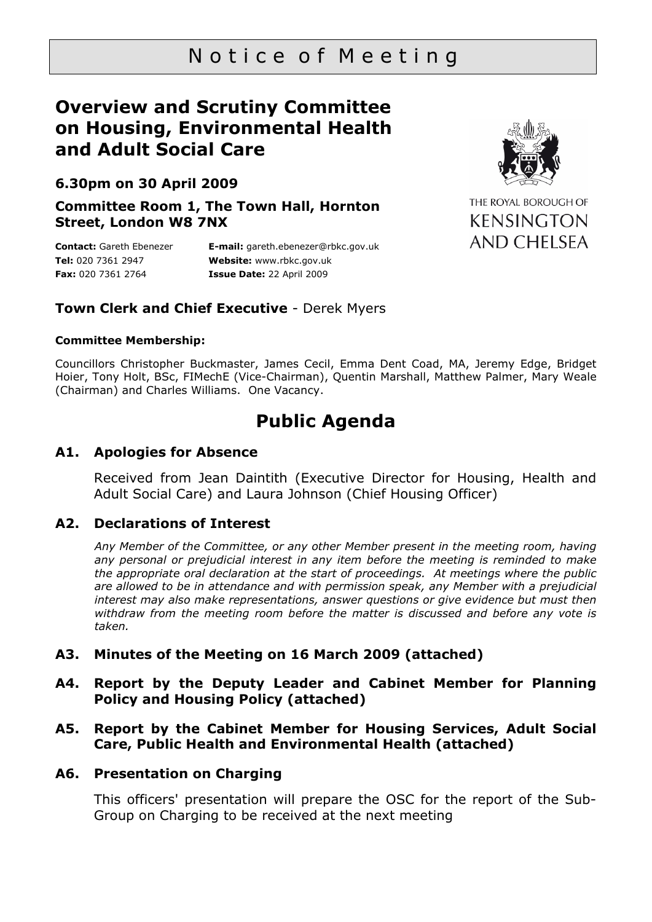# Notice of Meeting

## **Overview and Scrutiny Committee on Housing, Environmental Health and Adult Social Care**

## **6.30pm on 30 April 2009**

**Committee Room 1, The Town Hall, Hornton Street, London W8 7NX** 

**Contact:** Gareth Ebenezer **Tel:** 020 7361 2947 **Fax:** 020 7361 2764

**E-mail:** gareth.ebenezer@rbkc.gov.uk **Website:** [www.rbkc.gov.uk](http://www.rbkc.gov.uk/)  **Issue Date:** 22 April 2009

### **Town Clerk and Chief Executive** - Derek Myers

#### **Committee Membership:**

Councillors Christopher Buckmaster, James Cecil, Emma Dent Coad, MA, Jeremy Edge, Bridget Hoier, Tony Holt, BSc, FIMechE (Vice-Chairman), Quentin Marshall, Matthew Palmer, Mary Weale (Chairman) and Charles Williams. One Vacancy.

## **Public Agenda**

#### **A1. Apologies for Absence**

Received from Jean Daintith (Executive Director for Housing, Health and Adult Social Care) and Laura Johnson (Chief Housing Officer)

#### **A2. Declarations of Interest**

*Any Member of the Committee, or any other Member present in the meeting room, having any personal or prejudicial interest in any item before the meeting is reminded to make the appropriate oral declaration at the start of proceedings. At meetings where the public are allowed to be in attendance and with permission speak, any Member with a prejudicial interest may also make representations, answer questions or give evidence but must then withdraw from the meeting room before the matter is discussed and before any vote is taken.* 

#### **A3. Minutes of the Meeting on 16 March 2009 (attached)**

- **A4. Report by the Deputy Leader and Cabinet Member for Planning Policy and Housing Policy (attached)**
- **A5. Report by the Cabinet Member for Housing Services, Adult Social Care, Public Health and Environmental Health (attached)**

#### **A6. Presentation on Charging**

This officers' presentation will prepare the OSC for the report of the Sub-Group on Charging to be received at the next meeting



THE ROYAL BOROUGH OF **KENSINGTON** AND CHELSEA